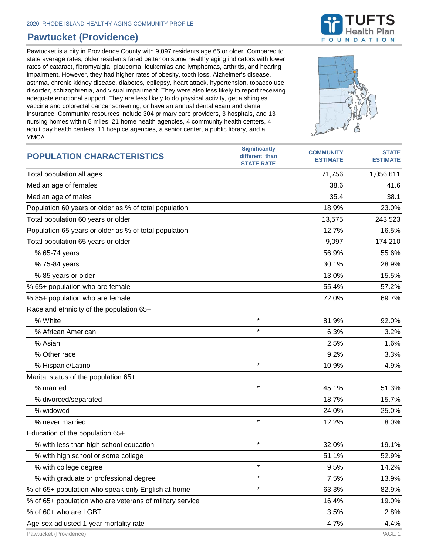## **Pawtucket (Providence)**

Pawtucket is a city in Providence County with 9,097 residents age 65 or older. Compared to state average rates, older residents fared better on some healthy aging indicators with lower rates of cataract, fibromyalgia, glaucoma, leukemias and lymphomas, arthritis, and hearing impairment. However, they had higher rates of obesity, tooth loss, Alzheimer's disease, asthma, chronic kidney disease, diabetes, epilepsy, heart attack, hypertension, tobacco use disorder, schizophrenia, and visual impairment. They were also less likely to report receiving adequate emotional support. They are less likely to do physical activity, get a shingles vaccine and colorectal cancer screening, or have an annual dental exam and dental insurance. Community resources include 304 primary care providers, 3 hospitals, and 13 nursing homes within 5 miles; 21 home health agencies, 4 community health centers, 4 adult day health centers, 11 hospice agencies, a senior center, a public library, and a YMCA.



| <b>POPULATION CHARACTERISTICS</b>                        | <b>Significantly</b><br>different than<br><b>STATE RATE</b> | <b>COMMUNITY</b><br><b>ESTIMATE</b> | <b>STATE</b><br><b>ESTIMATE</b> |
|----------------------------------------------------------|-------------------------------------------------------------|-------------------------------------|---------------------------------|
| Total population all ages                                |                                                             | 71,756                              | 1,056,611                       |
| Median age of females                                    |                                                             | 38.6                                | 41.6                            |
| Median age of males                                      |                                                             | 35.4                                | 38.1                            |
| Population 60 years or older as % of total population    |                                                             | 18.9%                               | 23.0%                           |
| Total population 60 years or older                       |                                                             | 13,575                              | 243,523                         |
| Population 65 years or older as % of total population    |                                                             | 12.7%                               | 16.5%                           |
| Total population 65 years or older                       |                                                             | 9,097                               | 174,210                         |
| % 65-74 years                                            |                                                             | 56.9%                               | 55.6%                           |
| % 75-84 years                                            |                                                             | 30.1%                               | 28.9%                           |
| % 85 years or older                                      |                                                             | 13.0%                               | 15.5%                           |
| % 65+ population who are female                          |                                                             | 55.4%                               | 57.2%                           |
| % 85+ population who are female                          |                                                             | 72.0%                               | 69.7%                           |
| Race and ethnicity of the population 65+                 |                                                             |                                     |                                 |
| % White                                                  | $\star$                                                     | 81.9%                               | 92.0%                           |
| % African American                                       | $\star$                                                     | 6.3%                                | 3.2%                            |
| % Asian                                                  |                                                             | 2.5%                                | 1.6%                            |
| % Other race                                             |                                                             | 9.2%                                | 3.3%                            |
| % Hispanic/Latino                                        | $\star$                                                     | 10.9%                               | 4.9%                            |
| Marital status of the population 65+                     |                                                             |                                     |                                 |
| % married                                                | $\star$                                                     | 45.1%                               | 51.3%                           |
| % divorced/separated                                     |                                                             | 18.7%                               | 15.7%                           |
| % widowed                                                |                                                             | 24.0%                               | 25.0%                           |
| % never married                                          | $\star$                                                     | 12.2%                               | 8.0%                            |
| Education of the population 65+                          |                                                             |                                     |                                 |
| % with less than high school education                   | $\star$                                                     | 32.0%                               | 19.1%                           |
| % with high school or some college                       |                                                             | 51.1%                               | 52.9%                           |
| % with college degree                                    |                                                             | 9.5%                                | 14.2%                           |
| % with graduate or professional degree                   | $\star$                                                     | 7.5%                                | 13.9%                           |
| % of 65+ population who speak only English at home       | $\star$                                                     | 63.3%                               | 82.9%                           |
| % of 65+ population who are veterans of military service |                                                             | 16.4%                               | 19.0%                           |
| % of 60+ who are LGBT                                    |                                                             | 3.5%                                | 2.8%                            |
| Age-sex adjusted 1-year mortality rate                   |                                                             | 4.7%                                | 4.4%                            |



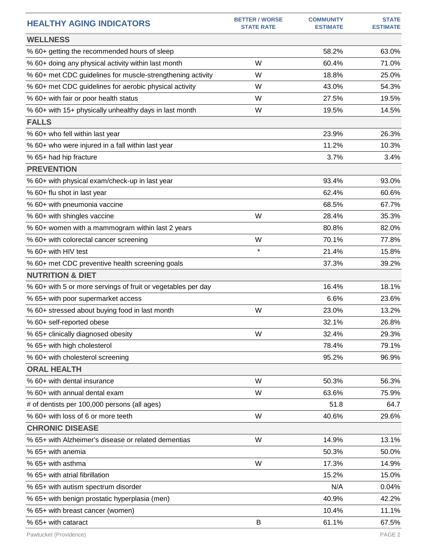| <b>HEALTHY AGING INDICATORS</b>                              | <b>BETTER / WORSE</b><br><b>STATE RATE</b> | <b>COMMUNITY</b><br><b>ESTIMATE</b> | <b>STATE</b><br><b>ESTIMATE</b> |
|--------------------------------------------------------------|--------------------------------------------|-------------------------------------|---------------------------------|
| <b>WELLNESS</b>                                              |                                            |                                     |                                 |
| % 60+ getting the recommended hours of sleep                 |                                            | 58.2%                               | 63.0%                           |
| % 60+ doing any physical activity within last month          | W                                          | 60.4%                               | 71.0%                           |
| % 60+ met CDC guidelines for muscle-strengthening activity   | W                                          | 18.8%                               | 25.0%                           |
| % 60+ met CDC guidelines for aerobic physical activity       | W                                          | 43.0%                               | 54.3%                           |
| % 60+ with fair or poor health status                        | W                                          | 27.5%                               | 19.5%                           |
| % 60+ with 15+ physically unhealthy days in last month       | W                                          | 19.5%                               | 14.5%                           |
| <b>FALLS</b>                                                 |                                            |                                     |                                 |
| % 60+ who fell within last year                              |                                            | 23.9%                               | 26.3%                           |
| % 60+ who were injured in a fall within last year            |                                            | 11.2%                               | 10.3%                           |
| % 65+ had hip fracture                                       |                                            | 3.7%                                | 3.4%                            |
| <b>PREVENTION</b>                                            |                                            |                                     |                                 |
| % 60+ with physical exam/check-up in last year               |                                            | 93.4%                               | 93.0%                           |
| % 60+ flu shot in last year                                  |                                            | 62.4%                               | 60.6%                           |
| % 60+ with pneumonia vaccine                                 |                                            | 68.5%                               | 67.7%                           |
| % 60+ with shingles vaccine                                  | W                                          | 28.4%                               | 35.3%                           |
| % 60+ women with a mammogram within last 2 years             |                                            | 80.8%                               | 82.0%                           |
| % 60+ with colorectal cancer screening                       | W                                          | 70.1%                               | 77.8%                           |
| % 60+ with HIV test                                          | $\star$                                    | 21.4%                               | 15.8%                           |
| % 60+ met CDC preventive health screening goals              |                                            | 37.3%                               | 39.2%                           |
| <b>NUTRITION &amp; DIET</b>                                  |                                            |                                     |                                 |
| % 60+ with 5 or more servings of fruit or vegetables per day |                                            | 16.4%                               | 18.1%                           |
| % 65+ with poor supermarket access                           |                                            | 6.6%                                | 23.6%                           |
| % 60+ stressed about buying food in last month               | W                                          | 23.0%                               | 13.2%                           |
| % 60+ self-reported obese                                    |                                            | 32.1%                               | 26.8%                           |
| % 65+ clinically diagnosed obesity                           | W                                          | 32.4%                               | 29.3%                           |
| % 65+ with high cholesterol                                  |                                            | 78.4%                               | 79.1%                           |
| % 60+ with cholesterol screening                             |                                            | 95.2%                               | 96.9%                           |
| <b>ORAL HEALTH</b>                                           |                                            |                                     |                                 |
| % 60+ with dental insurance                                  | W                                          | 50.3%                               | 56.3%                           |
| % 60+ with annual dental exam                                | W                                          | 63.6%                               | 75.9%                           |
| # of dentists per 100,000 persons (all ages)                 |                                            | 51.8                                | 64.7                            |
| % 60+ with loss of 6 or more teeth                           | W                                          | 40.6%                               | 29.6%                           |
| <b>CHRONIC DISEASE</b>                                       |                                            |                                     |                                 |
| % 65+ with Alzheimer's disease or related dementias          | W                                          | 14.9%                               | 13.1%                           |
| % 65+ with anemia                                            |                                            | 50.3%                               | 50.0%                           |
| % 65+ with asthma                                            | W                                          | 17.3%                               | 14.9%                           |
| % 65+ with atrial fibrillation                               |                                            | 15.2%                               | 15.0%                           |
| % 65+ with autism spectrum disorder                          |                                            | N/A                                 | 0.04%                           |
| % 65+ with benign prostatic hyperplasia (men)                |                                            | 40.9%                               | 42.2%                           |
| % 65+ with breast cancer (women)                             |                                            | 10.4%                               | 11.1%                           |
| % 65+ with cataract                                          | B                                          | 61.1%                               | 67.5%                           |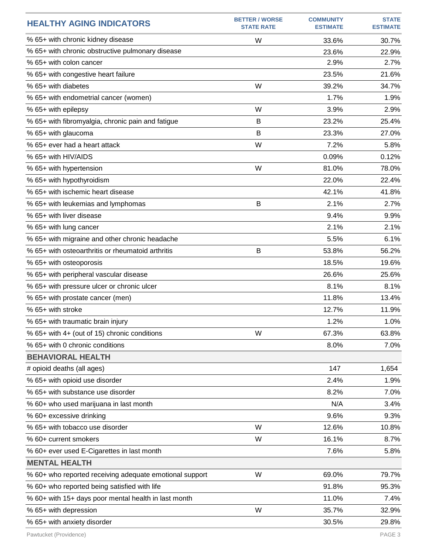| <b>HEALTHY AGING INDICATORS</b>                         | <b>BETTER / WORSE</b><br><b>STATE RATE</b> | <b>COMMUNITY</b><br><b>ESTIMATE</b> | <b>STATE</b><br><b>ESTIMATE</b> |
|---------------------------------------------------------|--------------------------------------------|-------------------------------------|---------------------------------|
| % 65+ with chronic kidney disease                       | W                                          | 33.6%                               | 30.7%                           |
| % 65+ with chronic obstructive pulmonary disease        |                                            | 23.6%                               | 22.9%                           |
| % 65+ with colon cancer                                 |                                            | 2.9%                                | 2.7%                            |
| % 65+ with congestive heart failure                     |                                            | 23.5%                               | 21.6%                           |
| % 65+ with diabetes                                     | W                                          | 39.2%                               | 34.7%                           |
| % 65+ with endometrial cancer (women)                   |                                            | 1.7%                                | 1.9%                            |
| % 65+ with epilepsy                                     | W                                          | 3.9%                                | 2.9%                            |
| % 65+ with fibromyalgia, chronic pain and fatigue       | B                                          | 23.2%                               | 25.4%                           |
| % 65+ with glaucoma                                     | B                                          | 23.3%                               | 27.0%                           |
| % 65+ ever had a heart attack                           | W                                          | 7.2%                                | 5.8%                            |
| % 65+ with HIV/AIDS                                     |                                            | 0.09%                               | 0.12%                           |
| % 65+ with hypertension                                 | W                                          | 81.0%                               | 78.0%                           |
| % 65+ with hypothyroidism                               |                                            | 22.0%                               | 22.4%                           |
| % 65+ with ischemic heart disease                       |                                            | 42.1%                               | 41.8%                           |
| % 65+ with leukemias and lymphomas                      | B                                          | 2.1%                                | 2.7%                            |
| % 65+ with liver disease                                |                                            | 9.4%                                | 9.9%                            |
| % 65+ with lung cancer                                  |                                            | 2.1%                                | 2.1%                            |
| % 65+ with migraine and other chronic headache          |                                            | 5.5%                                | 6.1%                            |
| % 65+ with osteoarthritis or rheumatoid arthritis       | B                                          | 53.8%                               | 56.2%                           |
| % 65+ with osteoporosis                                 |                                            | 18.5%                               | 19.6%                           |
| % 65+ with peripheral vascular disease                  |                                            | 26.6%                               | 25.6%                           |
| % 65+ with pressure ulcer or chronic ulcer              |                                            | 8.1%                                | 8.1%                            |
| % 65+ with prostate cancer (men)                        |                                            | 11.8%                               | 13.4%                           |
| % 65+ with stroke                                       |                                            | 12.7%                               | 11.9%                           |
| % 65+ with traumatic brain injury                       |                                            | 1.2%                                | 1.0%                            |
| % 65+ with 4+ (out of 15) chronic conditions            | W                                          | 67.3%                               | 63.8%                           |
| % 65+ with 0 chronic conditions                         |                                            | 8.0%                                | 7.0%                            |
| <b>BEHAVIORAL HEALTH</b>                                |                                            |                                     |                                 |
| # opioid deaths (all ages)                              |                                            | 147                                 | 1,654                           |
| % 65+ with opioid use disorder                          |                                            | 2.4%                                | 1.9%                            |
| % 65+ with substance use disorder                       |                                            | 8.2%                                | 7.0%                            |
| % 60+ who used marijuana in last month                  |                                            | N/A                                 | 3.4%                            |
| % 60+ excessive drinking                                |                                            | 9.6%                                | 9.3%                            |
| % 65+ with tobacco use disorder                         | W                                          | 12.6%                               | 10.8%                           |
| % 60+ current smokers                                   | W                                          | 16.1%                               | 8.7%                            |
| % 60+ ever used E-Cigarettes in last month              |                                            | 7.6%                                | 5.8%                            |
| <b>MENTAL HEALTH</b>                                    |                                            |                                     |                                 |
| % 60+ who reported receiving adequate emotional support | W                                          | 69.0%                               | 79.7%                           |
| % 60+ who reported being satisfied with life            |                                            | 91.8%                               | 95.3%                           |
| % 60+ with 15+ days poor mental health in last month    |                                            | 11.0%                               | 7.4%                            |
| % 65+ with depression                                   | W                                          | 35.7%                               | 32.9%                           |
| % 65+ with anxiety disorder                             |                                            | 30.5%                               | 29.8%                           |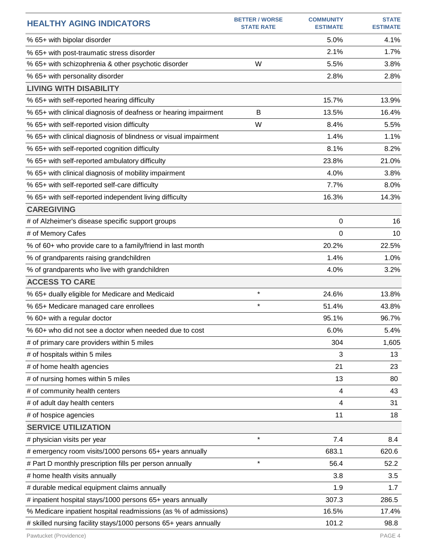| <b>HEALTHY AGING INDICATORS</b>                                  | <b>BETTER / WORSE</b><br><b>STATE RATE</b> | <b>COMMUNITY</b><br><b>ESTIMATE</b> | <b>STATE</b><br><b>ESTIMATE</b> |
|------------------------------------------------------------------|--------------------------------------------|-------------------------------------|---------------------------------|
| % 65+ with bipolar disorder                                      |                                            | 5.0%                                | 4.1%                            |
| % 65+ with post-traumatic stress disorder                        |                                            | 2.1%                                | 1.7%                            |
| % 65+ with schizophrenia & other psychotic disorder              | W                                          | 5.5%                                | 3.8%                            |
| % 65+ with personality disorder                                  |                                            | 2.8%                                | 2.8%                            |
| <b>LIVING WITH DISABILITY</b>                                    |                                            |                                     |                                 |
| % 65+ with self-reported hearing difficulty                      |                                            | 15.7%                               | 13.9%                           |
| % 65+ with clinical diagnosis of deafness or hearing impairment  | B                                          | 13.5%                               | 16.4%                           |
| % 65+ with self-reported vision difficulty                       | W                                          | 8.4%                                | 5.5%                            |
| % 65+ with clinical diagnosis of blindness or visual impairment  |                                            | 1.4%                                | 1.1%                            |
| % 65+ with self-reported cognition difficulty                    |                                            | 8.1%                                | 8.2%                            |
| % 65+ with self-reported ambulatory difficulty                   |                                            | 23.8%                               | 21.0%                           |
| % 65+ with clinical diagnosis of mobility impairment             |                                            | 4.0%                                | 3.8%                            |
| % 65+ with self-reported self-care difficulty                    |                                            | 7.7%                                | 8.0%                            |
| % 65+ with self-reported independent living difficulty           |                                            | 16.3%                               | 14.3%                           |
| <b>CAREGIVING</b>                                                |                                            |                                     |                                 |
| # of Alzheimer's disease specific support groups                 |                                            | 0                                   | 16                              |
| # of Memory Cafes                                                |                                            | 0                                   | 10                              |
| % of 60+ who provide care to a family/friend in last month       |                                            | 20.2%                               | 22.5%                           |
| % of grandparents raising grandchildren                          |                                            | 1.4%                                | 1.0%                            |
| % of grandparents who live with grandchildren                    |                                            | 4.0%                                | 3.2%                            |
| <b>ACCESS TO CARE</b>                                            |                                            |                                     |                                 |
| % 65+ dually eligible for Medicare and Medicaid                  | $\star$                                    | 24.6%                               | 13.8%                           |
| % 65+ Medicare managed care enrollees                            | $\star$                                    | 51.4%                               | 43.8%                           |
| % 60+ with a regular doctor                                      |                                            | 95.1%                               | 96.7%                           |
| % 60+ who did not see a doctor when needed due to cost           |                                            | 6.0%                                | 5.4%                            |
| # of primary care providers within 5 miles                       |                                            | 304                                 | 1,605                           |
| # of hospitals within 5 miles                                    |                                            | 3                                   | 13                              |
| # of home health agencies                                        |                                            | 21                                  | 23                              |
| # of nursing homes within 5 miles                                |                                            | 13                                  | 80                              |
| # of community health centers                                    |                                            | 4                                   | 43                              |
| # of adult day health centers                                    |                                            | 4                                   | 31                              |
| # of hospice agencies                                            |                                            | 11                                  | 18                              |
| <b>SERVICE UTILIZATION</b>                                       |                                            |                                     |                                 |
| # physician visits per year                                      | $\star$                                    | 7.4                                 | 8.4                             |
| # emergency room visits/1000 persons 65+ years annually          |                                            | 683.1                               | 620.6                           |
| # Part D monthly prescription fills per person annually          | $\star$                                    | 56.4                                | 52.2                            |
| # home health visits annually                                    |                                            | 3.8                                 | 3.5                             |
| # durable medical equipment claims annually                      |                                            | 1.9                                 | 1.7                             |
| # inpatient hospital stays/1000 persons 65+ years annually       |                                            | 307.3                               | 286.5                           |
| % Medicare inpatient hospital readmissions (as % of admissions)  |                                            | 16.5%                               | 17.4%                           |
| # skilled nursing facility stays/1000 persons 65+ years annually |                                            | 101.2                               | 98.8                            |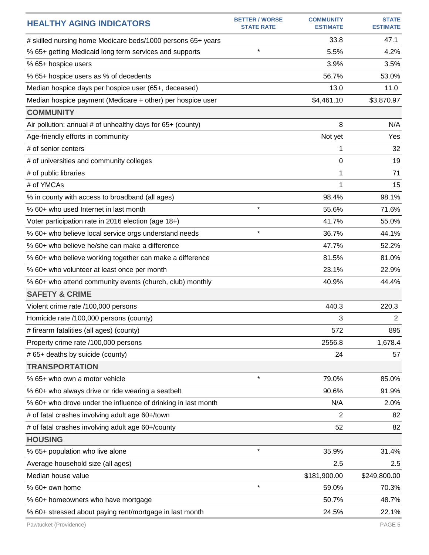| <b>HEALTHY AGING INDICATORS</b>                               | <b>BETTER / WORSE</b><br><b>STATE RATE</b> | <b>COMMUNITY</b><br><b>ESTIMATE</b> | <b>STATE</b><br><b>ESTIMATE</b> |
|---------------------------------------------------------------|--------------------------------------------|-------------------------------------|---------------------------------|
| # skilled nursing home Medicare beds/1000 persons 65+ years   |                                            | 33.8                                | 47.1                            |
| % 65+ getting Medicaid long term services and supports        | $\star$                                    | 5.5%                                | 4.2%                            |
| % 65+ hospice users                                           |                                            | 3.9%                                | 3.5%                            |
| % 65+ hospice users as % of decedents                         |                                            | 56.7%                               | 53.0%                           |
| Median hospice days per hospice user (65+, deceased)          |                                            | 13.0                                | 11.0                            |
| Median hospice payment (Medicare + other) per hospice user    |                                            | \$4,461.10                          | \$3,870.97                      |
| <b>COMMUNITY</b>                                              |                                            |                                     |                                 |
| Air pollution: annual # of unhealthy days for 65+ (county)    |                                            | 8                                   | N/A                             |
| Age-friendly efforts in community                             |                                            | Not yet                             | Yes                             |
| # of senior centers                                           |                                            | 1                                   | 32                              |
| # of universities and community colleges                      |                                            | 0                                   | 19                              |
| # of public libraries                                         |                                            | 1                                   | 71                              |
| # of YMCAs                                                    |                                            | 1                                   | 15                              |
| % in county with access to broadband (all ages)               |                                            | 98.4%                               | 98.1%                           |
| % 60+ who used Internet in last month                         | $\star$                                    | 55.6%                               | 71.6%                           |
| Voter participation rate in 2016 election (age 18+)           |                                            | 41.7%                               | 55.0%                           |
| % 60+ who believe local service orgs understand needs         | $\star$                                    | 36.7%                               | 44.1%                           |
| % 60+ who believe he/she can make a difference                |                                            | 47.7%                               | 52.2%                           |
| % 60+ who believe working together can make a difference      |                                            | 81.5%                               | 81.0%                           |
| % 60+ who volunteer at least once per month                   |                                            | 23.1%                               | 22.9%                           |
| % 60+ who attend community events (church, club) monthly      |                                            | 40.9%                               | 44.4%                           |
| <b>SAFETY &amp; CRIME</b>                                     |                                            |                                     |                                 |
| Violent crime rate /100,000 persons                           |                                            | 440.3                               | 220.3                           |
| Homicide rate /100,000 persons (county)                       |                                            | 3                                   | $\overline{2}$                  |
| # firearm fatalities (all ages) (county)                      |                                            | 572                                 | 895                             |
| Property crime rate /100,000 persons                          |                                            | 2556.8                              | 1,678.4                         |
| # 65+ deaths by suicide (county)                              |                                            | 24                                  | 57                              |
| <b>TRANSPORTATION</b>                                         |                                            |                                     |                                 |
| % 65+ who own a motor vehicle                                 | $\star$                                    | 79.0%                               | 85.0%                           |
| % 60+ who always drive or ride wearing a seatbelt             |                                            | 90.6%                               | 91.9%                           |
| % 60+ who drove under the influence of drinking in last month |                                            | N/A                                 | 2.0%                            |
| # of fatal crashes involving adult age 60+/town               |                                            | 2                                   | 82                              |
| # of fatal crashes involving adult age 60+/county             |                                            | 52                                  | 82                              |
| <b>HOUSING</b>                                                |                                            |                                     |                                 |
| % 65+ population who live alone                               | $\star$                                    | 35.9%                               | 31.4%                           |
| Average household size (all ages)                             |                                            | 2.5                                 | 2.5                             |
| Median house value                                            |                                            | \$181,900.00                        | \$249,800.00                    |
| % 60+ own home                                                | $\star$                                    | 59.0%                               | 70.3%                           |
| % 60+ homeowners who have mortgage                            |                                            | 50.7%                               | 48.7%                           |
| % 60+ stressed about paying rent/mortgage in last month       |                                            | 24.5%                               | 22.1%                           |
| Pawtucket (Providence)                                        |                                            |                                     | PAGE 5                          |